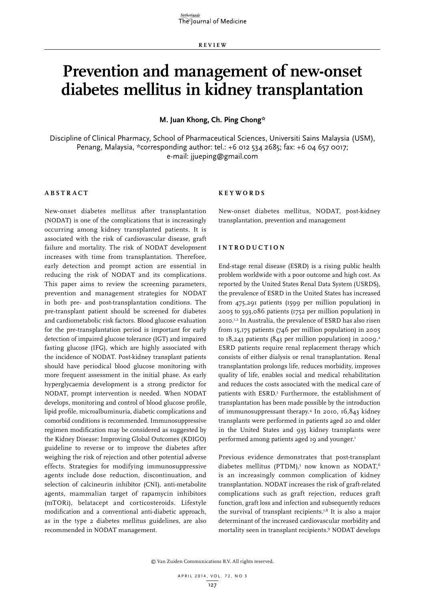**RE V IE W**

# **Prevention and management of new-onset diabetes mellitus in kidney transplantation**

**M. Juan Khong, Ch. Ping Chong\***

Discipline of Clinical Pharmacy, School of Pharmaceutical Sciences, Universiti Sains Malaysia (USM), Penang, Malaysia, \*corresponding author: tel.: +6 012 534 2685; fax: +6 04 657 0017; e-mail: jjueping@gmail.com

# **A B STRA C T**

New-onset diabetes mellitus after transplantation (NODAT) is one of the complications that is increasingly occurring among kidney transplanted patients. It is associated with the risk of cardiovascular disease, graft failure and mortality. The risk of NODAT development increases with time from transplantation. Therefore, early detection and prompt action are essential in reducing the risk of NODAT and its complications. This paper aims to review the screening parameters, prevention and management strategies for NODAT in both pre- and post-transplantation conditions. The pre-transplant patient should be screened for diabetes and cardiometabolic risk factors. Blood glucose evaluation for the pre-transplantation period is important for early detection of impaired glucose tolerance (IGT) and impaired fasting glucose (IFG), which are highly associated with the incidence of NODAT. Post-kidney transplant patients should have periodical blood glucose monitoring with more frequent assessment in the initial phase. As early hyperglycaemia development is a strong predictor for NODAT, prompt intervention is needed. When NODAT develops, monitoring and control of blood glucose profile, lipid profile, microalbuminuria, diabetic complications and comorbid conditions is recommended. Immunosuppressive regimen modification may be considered as suggested by the Kidney Disease: Improving Global Outcomes (KDIGO) guideline to reverse or to improve the diabetes after weighing the risk of rejection and other potential adverse effects. Strategies for modifying immunosuppressive agents include dose reduction, discontinuation, and selection of calcineurin inhibitor (CNI), anti-metabolite agents, mammalian target of rapamycin inhibitors (mTORi), belatacept and corticosteroids. Lifestyle modification and a conventional anti-diabetic approach, as in the type 2 diabetes mellitus guidelines, are also recommended in NODAT management.

# **K e yw o r d s**

New-onset diabetes mellitus, NODAT, post-kidney transplantation, prevention and management

### **INTROD U C TION**

End-stage renal disease (ESRD) is a rising public health problem worldwide with a poor outcome and high cost. As reported by the United States Renal Data System (USRDS), the prevalence of ESRD in the United States has increased from 475,291 patients (1599 per million population) in 2005 to 593,086 patients (1752 per million population) in 2010.1,2 In Australia, the prevalence of ESRD has also risen from 15,175 patients (746 per million population) in 2005 to  $18,243$  patients (843 per million population) in 2009.<sup>2</sup> ESRD patients require renal replacement therapy which consists of either dialysis or renal transplantation. Renal transplantation prolongs life, reduces morbidity, improves quality of life, enables social and medical rehabilitation and reduces the costs associated with the medical care of patients with ESRD.3 Furthermore, the establishment of transplantation has been made possible by the introduction of immunosuppressant therapy.4 In 2010, 16,843 kidney transplants were performed in patients aged 20 and older in the United States and 935 kidney transplants were performed among patients aged 19 and younger.<sup>1</sup>

Previous evidence demonstrates that post-transplant diabetes mellitus (PTDM),<sup>5</sup> now known as NODAT,<sup>6</sup> is an increasingly common complication of kidney transplantation. NODAT increases the risk of graft-related complications such as graft rejection, reduces graft function, graft loss and infection and subsequently reduces the survival of transplant recipients.7,8 It is also a major determinant of the increased cardiovascular morbidity and mortality seen in transplant recipients.9 NODAT develops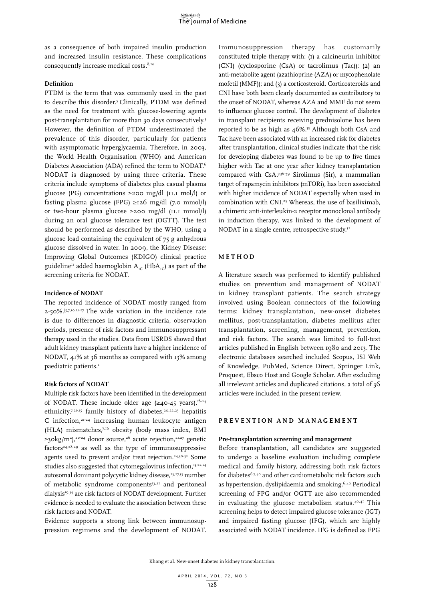as a consequence of both impaired insulin production and increased insulin resistance. These complications consequently increase medical costs.<sup>8,10</sup>

### **Definition**

PTDM is the term that was commonly used in the past to describe this disorder.<sup>5</sup> Clinically, PTDM was defined as the need for treatment with glucose-lowering agents post-transplantation for more than 30 days consecutively.5 However, the definition of PTDM underestimated the prevalence of this disorder, particularly for patients with asymptomatic hyperglycaemia. Therefore, in 2003, the World Health Organisation (WHO) and American Diabetes Association (ADA) refined the term to NODAT.6 NODAT is diagnosed by using three criteria. These criteria include symptoms of diabetes plus casual plasma glucose (PG) concentrations ≥200 mg/dl (11.1 mol/l) or fasting plasma glucose (FPG) ≥126 mg/dl (7.0 mmol/l) or two-hour plasma glucose ≥200 mg/dl (11.1 mmol/l) during an oral glucose tolerance test (OGTT). The test should be performed as described by the WHO, using a glucose load containing the equivalent of 75 g anhydrous glucose dissolved in water. In 2009, the Kidney Disease: Improving Global Outcomes (KDIGO) clinical practice guideline<sup>11</sup> added haemoglobin A<sub>1C</sub> (HbA<sub>1C</sub>) as part of the screening criteria for NODAT.

# **Incidence of NODAT**

The reported incidence of NODAT mostly ranged from 2-50%.[5,7,10,12-17 The wide variation in the incidence rate is due to differences in diagnostic criteria, observation periods, presence of risk factors and immunosuppressant therapy used in the studies. Data from USRDS showed that adult kidney transplant patients have a higher incidence of NODAT, 41% at 36 months as compared with 13% among paediatric patients.<sup>1</sup>

### **Risk factors of NODAT**

Multiple risk factors have been identified in the development of NODAT. These include older age  $(\geq 40.45 \text{ years})$ ,  $18.24$ ethnicity,7,21-25 family history of diabetes,<sup>20,22,23</sup> hepatitis C infection, $21-24$  increasing human leukocyte antigen (HLA) mismatches, $7,16$  obesity (body mass index, BMI ≥30kg/m<sup>2</sup>),<sup>20-24</sup> donor source,<sup>26</sup> acute rejection,<sup>21,27</sup> genetic factors<sup>24,28,29</sup> as well as the type of immunosuppressive agents used to prevent and/or treat rejection.<sup>24,30-32</sup> Some studies also suggested that cytomegalovirus infection,<sup>15,22,23</sup> autosomal dominant polycystic kidney disease,<sup>23,27,33</sup> number of metabolic syndrome components $I<sub>3,21</sub>$  and peritoneal dialysis<sup>19,34</sup> are risk factors of NODAT development. Further evidence is needed to evaluate the association between these risk factors and NODAT.

Evidence supports a strong link between immunosuppression regimens and the development of NODAT.

Immunosuppression therapy has customarily constituted triple therapy with: (1) a calcineurin inhibitor (CNI) (cyclosporine (CsA) or tacrolimus (Tac)); (2) an anti-metabolite agent (azathioprine (AZA) or mycophenolate mofetil (MMF)); and (3) a corticosteroid. Corticosteroids and CNI have both been clearly documented as contributory to the onset of NODAT, whereas AZA and MMF do not seem to influence glucose control. The development of diabetes in transplant recipients receiving prednisolone has been reported to be as high as 46%.35 Although both CsA and Tac have been associated with an increased risk for diabetes after transplantation, clinical studies indicate that the risk for developing diabetes was found to be up to five times higher with Tac at one year after kidney transplantation compared with CsA.7,36-39 Sirolimus (Sir), a mammalian target of rapamycin inhibitors (mTORi), has been associated with higher incidence of NODAT especially when used in combination with CNI.25 Whereas, the use of basiliximab, a chimeric anti-interleukin-2 receptor monoclonal antibody in induction therapy, was linked to the development of NODAT in a single centre, retrospective study.<sup>32</sup>

### **M ET H OD**

A literature search was performed to identify published studies on prevention and management of NODAT in kidney transplant patients. The search strategy involved using Boolean connectors of the following terms: kidney transplantation, new-onset diabetes mellitus, post-transplantation, diabetes mellitus after transplantation, screening, management, prevention, and risk factors. The search was limited to full-text articles published in English between 1980 and 2013. The electronic databases searched included Scopus, ISI Web of Knowledge, PubMed, Science Direct, Springer Link, Proquest, Ebsco Host and Google Scholar. After excluding all irrelevant articles and duplicated citations, a total of 36 articles were included in the present review.

### **P RE V ENTION AND M ANA G E M ENT**

### **Pre-transplantation screening and management**

Before transplantation, all candidates are suggested to undergo a baseline evaluation including complete medical and family history, addressing both risk factors for diabetes6,7,40 and other cardiometabolic risk factors such as hypertension, dyslipidaemia and smoking.6,40 Periodical screening of FPG and/or OGTT are also recommended in evaluating the glucose metabolism status.40,41 This screening helps to detect impaired glucose tolerance (IGT) and impaired fasting glucose (IFG), which are highly associated with NODAT incidence. IFG is defined as FPG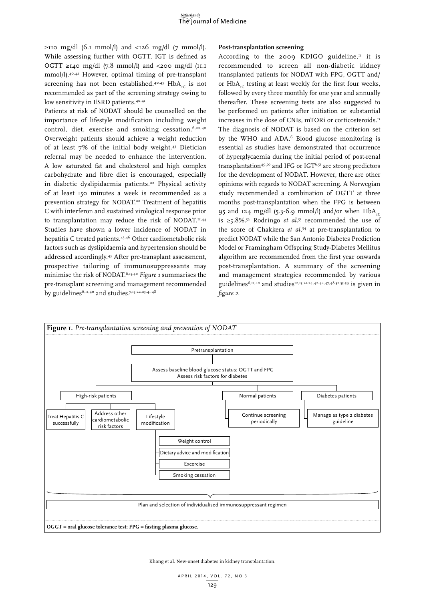$\geq$ 110 mg/dl (6.1 mmol/l) and <126 mg/dl (7 mmol/l). While assessing further with OGTT, IGT is defined as OGTT ≥140 mg/dl (7.8 mmol/l) and <200 mg/dl (11.1 mmol/l).40,42 However, optimal timing of pre-transplant screening has not been established.<sup>40,43</sup> HbA<sub>1C</sub> is not recommended as part of the screening strategy owing to low sensitivity in ESRD patients.<sup>40,41</sup>

Patients at risk of NODAT should be counselled on the importance of lifestyle modification including weight control, diet, exercise and smoking cessation.  $6,22,40$ Overweight patients should achieve a weight reduction of at least 7% of the initial body weight.43 Dietician referral may be needed to enhance the intervention. A low saturated fat and cholesterol and high complex carbohydrate and fibre diet is encouraged, especially in diabetic dyslipidaemia patients.<sup>22</sup> Physical activity of at least 150 minutes a week is recommended as a prevention strategy for NODAT.22 Treatment of hepatitis C with interferon and sustained virological response prior to transplantation may reduce the risk of NODAT.<sup>11,44</sup> Studies have shown a lower incidence of NODAT in hepatitis C treated patients.45,46 Other cardiometabolic risk factors such as dyslipidaemia and hypertension should be addressed accordingly.43 After pre-transplant assessment, prospective tailoring of immunosuppressants may minimise the risk of NODAT.6,15,40 *Figure 1* summarises the pre-transplant screening and management recommended by guidelines<sup>6,11,40</sup> and studies.<sup>7,15,22,23,41-48</sup>

### **Post-transplantation screening**

According to the 2009 KDIGO guideline, $\mathbf{u}$  it is recommended to screen all non-diabetic kidney transplanted patients for NODAT with FPG, OGTT and/ or  $HbA_{\tau}$  testing at least weekly for the first four weeks, followed by every three monthly for one year and annually thereafter. These screening tests are also suggested to be performed on patients after initiation or substantial increases in the dose of CNIs, mTORi or corticosteroids.<sup>11</sup> The diagnosis of NODAT is based on the criterion set by the WHO and ADA.<sup>6</sup> Blood glucose monitoring is essential as studies have demonstrated that occurrence of hyperglycaemia during the initial period of post-renal transplantation<sup>49,50</sup> and IFG or IGT<sup>6,51</sup> are strong predictors for the development of NODAT. However, there are other opinions with regards to NODAT screening. A Norwegian study recommended a combination of OGTT at three months post-transplantation when the FPG is between 95 and 124 mg/dl (5.3-6.9 mmol/l) and/or when  $HbA_{\text{nc}}$ is ≥5.8%.<sup>52</sup> Rodringo *et al.*<sup>53</sup> recommended the use of the score of Chakkera *et al.*54 at pre-transplantation to predict NODAT while the San Antonio Diabetes Prediction Model or Framingham Offspring Study-Diabetes Mellitus algorithm are recommended from the first year onwards post-transplantation. A summary of the screening and management strategies recommended by various guidelines<sup>6,11,40</sup> and studies<sup>12,15,21-24,42-44,47,48,52,55-59</sup> is given in *figure 2*.



Khong et al. New-onset diabetes in kidney transplantation.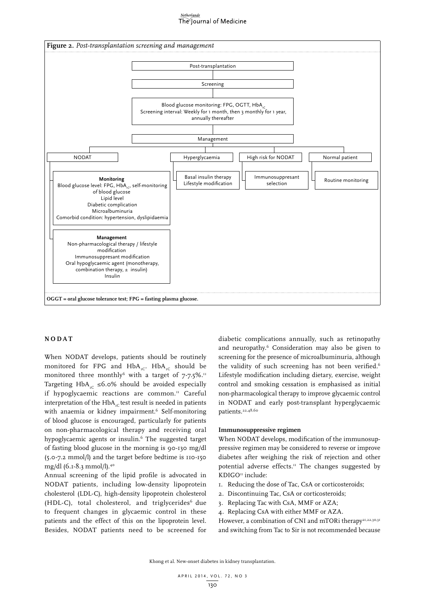# The Journal of Medicine



### **NODAT**

When NODAT develops, patients should be routinely monitored for FPG and  $HbA_{1C}$ . HbA<sub>1C</sub> should be monitored three monthly<sup>6</sup> with a target of  $7\cdot7.5\%$ .<sup>11</sup> Targeting HbA<sub>1C</sub> ≤6.0% should be avoided especially if hypoglycaemic reactions are common.<sup>11</sup> Careful interpretation of the  $HbA_{nc}$  test result is needed in patients with anaemia or kidney impairment.<sup>6</sup> Self-monitoring of blood glucose is encouraged, particularly for patients on non-pharmacological therapy and receiving oral hypoglycaemic agents or insulin.<sup>6</sup> The suggested target of fasting blood glucose in the morning is 90-130 mg/dl (5.0-7.2 mmol/l) and the target before bedtime is 110-150 mg/dl (6.1-8.3 mmol/l).40

Annual screening of the lipid profile is advocated in NODAT patients, including low-density lipoprotein cholesterol (LDL-C), high-density lipoprotein cholesterol (HDL-C), total cholesterol, and triglycerides $<sup>6</sup>$  due</sup> to frequent changes in glycaemic control in these patients and the effect of this on the lipoprotein level. Besides, NODAT patients need to be screened for diabetic complications annually, such as retinopathy and neuropathy.6 Consideration may also be given to screening for the presence of microalbuminuria, although the validity of such screening has not been verified.<sup>6</sup> Lifestyle modification including dietary, exercise, weight control and smoking cessation is emphasised as initial non-pharmacological therapy to improve glycaemic control in NODAT and early post-transplant hyperglycaemic patients.<sup>22,48,60</sup>

### **Immunosuppressive regimen**

When NODAT develops, modification of the immunosuppressive regimen may be considered to reverse or improve diabetes after weighing the risk of rejection and other potential adverse effects. $I<sup>H</sup>$  The changes suggested by KDIGO<sup>11</sup> include:

- 1. Reducing the dose of Tac, CsA or corticosteroids;
- 2. Discontinuing Tac, CsA or corticosteroids;
- 3. Replacing Tac with CsA, MMF or AZA;
- 4. Replacing CsA with either MMF or AZA.

However, a combination of CNI and mTORi therapy<sup>21,22,30,31</sup> and switching from Tac to Sir is not recommended because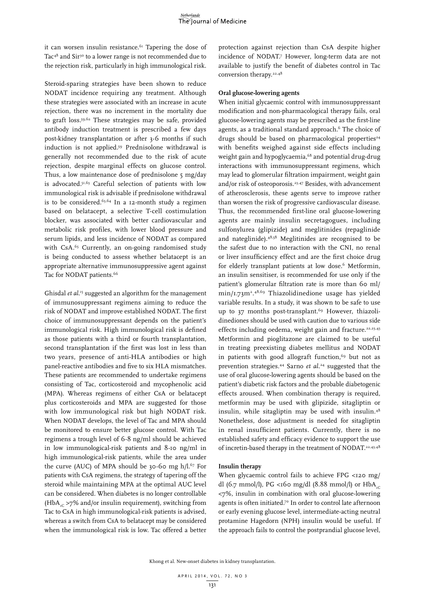it can worsen insulin resistance.<sup>61</sup> Tapering the dose of Tac<sup>48</sup> and Sir<sup>30</sup> to a lower range is not recommended due to the rejection risk, particularly in high immunological risk.

Steroid-sparing strategies have been shown to reduce NODAT incidence requiring any treatment. Although these strategies were associated with an increase in acute rejection, there was no increment in the mortality due to graft loss.59,62 These strategies may be safe, provided antibody induction treatment is prescribed a few days post-kidney transplantation or after 3-6 months if such induction is not applied.<sup>59</sup> Prednisolone withdrawal is generally not recommended due to the risk of acute rejection, despite marginal effects on glucose control. Thus, a low maintenance dose of prednisolone 5 mg/day is advocated.51,63 Careful selection of patients with low immunological risk is advisable if prednisolone withdrawal is to be considered.<sup>63,64</sup> In a 12-month study a regimen based on belatacept, a selective T-cell costimulation blocker, was associated with better cardiovascular and metabolic risk profiles, with lower blood pressure and serum lipids, and less incidence of NODAT as compared with CsA.<sup>65</sup> Currently, an on-going randomised study is being conducted to assess whether belatacept is an appropriate alternative immunosuppressive agent against Tac for NODAT patients.<sup>66</sup>

Ghisdal *et al*. 15 suggested an algorithm for the management of immunosuppressant regimens aiming to reduce the risk of NODAT and improve established NODAT. The first choice of immunosuppressant depends on the patient's immunological risk. High immunological risk is defined as those patients with a third or fourth transplantation, second transplantation if the first was lost in less than two years, presence of anti-HLA antibodies or high panel-reactive antibodies and five to six HLA mismatches. These patients are recommended to undertake regimens consisting of Tac, corticosteroid and mycophenolic acid (MPA). Whereas regimens of either CsA or belatacept plus corticosteroids and MPA are suggested for those with low immunological risk but high NODAT risk. When NODAT develops, the level of Tac and MPA should be monitored to ensure better glucose control. With Tac regimens a trough level of 6-8 ng/ml should be achieved in low immunological-risk patients and 8-10 ng/ml in high immunological-risk patients, while the area under the curve (AUC) of MPA should be 30-60 mg  $h/l.^{67}$  For patients with CsA regimens, the strategy of tapering off the steroid while maintaining MPA at the optimal AUC level can be considered. When diabetes is no longer controllable  $(HbA<sub>c</sub> > 7% and/or insulin requirement)$ , switching from Tac to CsA in high immunological-risk patients is advised, whereas a switch from CsA to belatacept may be considered when the immunological risk is low. Tac offered a better

protection against rejection than CsA despite higher incidence of NODAT.7 However, long-term data are not available to justify the benefit of diabetes control in Tac conversion therapy.<sup>22,48</sup>

### **Oral glucose-lowering agents**

When initial glycaemic control with immunosuppressant modification and non-pharmacological therapy fails, oral glucose-lowering agents may be prescribed as the first-line agents, as a traditional standard approach.<sup>6</sup> The choice of drugs should be based on pharmacological properties<sup>24</sup> with benefits weighed against side effects including weight gain and hypoglycaemia,<sup>68</sup> and potential drug-drug interactions with immunosuppressant regimens, which may lead to glomerular filtration impairment, weight gain and/or risk of osteoporosis.23,47 Besides, with advancement of atherosclerosis, these agents serve to improve rather than worsen the risk of progressive cardiovascular disease. Thus, the recommended first-line oral glucose-lowering agents are mainly insulin secretagogues, including sulfonylurea (glipizide) and meglitinides (repaglinide and nateglinide).48,58 Meglitinides are recognised to be the safest due to no interaction with the CNI, no renal or liver insufficiency effect and are the first choice drug for elderly transplant patients at low dose.<sup>6</sup> Metformin, an insulin sensitiser, is recommended for use only if the patient's glomerular filtration rate is more than 60 ml/ min/1.73m2. 48,69 Thiazolidinedione usage has yielded variable results. In a study, it was shown to be safe to use up to 37 months post-transplant.<sup>69</sup> However, thiazolidinediones should be used with caution due to various side effects including oedema, weight gain and fracture.<sup>22,23,43</sup> Metformin and pioglitazone are claimed to be useful in treating preexisting diabetes mellitus and NODAT in patients with good allograft function, $69$  but not as prevention strategies.44 Sarno *et al.*24 suggested that the use of oral glucose-lowering agents should be based on the patient's diabetic risk factors and the probable diabetogenic effects aroused. When combination therapy is required, metformin may be used with glipizide, sitagliptin or insulin, while sitagliptin may be used with insulin.48 Nonetheless, dose adjustment is needed for sitagliptin in renal insufficient patients. Currently, there is no established safety and efficacy evidence to support the use of incretin-based therapy in the treatment of NODAT.<sup>22,43,48</sup>

### **Insulin therapy**

When glycaemic control fails to achieve FPG <120 mg/ dl (6.7 mmol/l), PG <160 mg/dl (8.88 mmol/l) or HbA<sub>-C</sub> <7%, insulin in combination with oral glucose-lowering agents is often initiated.<sup>70</sup> In order to control late afternoon or early evening glucose level, intermediate-acting neutral protamine Hagedorn (NPH) insulin would be useful. If the approach fails to control the postprandial glucose level,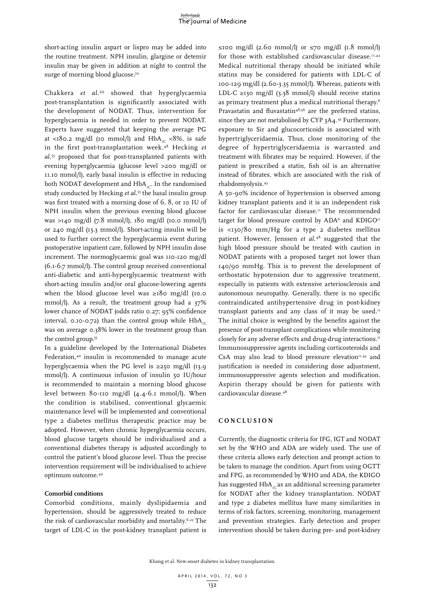short-acting insulin aspart or lispro may be added into the routine treatment. NPH insulin, glargine or detemir insulin may be given in addition at night to control the surge of morning blood glucose.70

Chakkera *et al*. 49 showed that hyperglycaemia post-transplantation is significantly associated with the development of NODAT. Thus, intervention for hyperglycaemia is needed in order to prevent NODAT. Experts have suggested that keeping the average PG at <180.2 mg/dl (10 mmol/l) and  $HbA_{1C}$  <8%, is safe in the first post-transplantation week.48 Hecking *et al.*55 proposed that for post-transplanted patients with evening hyperglycaemia (glucose level >200 mg/dl or 11.10 mmol/l), early basal insulin is effective in reducing both NODAT development and  $HbA_{1c}$ . In the randomised study conducted by Hecking *et al.*55 the basal insulin group was first treated with a morning dose of 6, 8, or 10 IU of NPH insulin when the previous evening blood glucose was >140 mg/dl (7.8 mmol/l), 180 mg/dl (10.0 mmol/l) or 240 mg/dl (13.3 mmol/l). Short-acting insulin will be used to further correct the hyperglycaemia event during postoperative inpatient care, followed by NPH insulin dose increment. The normoglycaemic goal was 110-120 mg/dl (6.1-6.7 mmol/l). The control group received conventional anti-diabetic and anti-hyperglycaemic treatment with short-acting insulin and/or oral glucose-lowering agents when the blood glucose level was ≥180 mg/dl (10.0 mmol/l). As a result, the treatment group had a 37% lower chance of NODAT (odds ratio 0.27; 95% confidence interval, 0.10-0.72) than the control group while  $HbA_{\text{nc}}$ was on average 0.38% lower in the treatment group than the control group.55

In a guideline developed by the International Diabetes Federation,<sup>40</sup> insulin is recommended to manage acute hyperglycaemia when the PG level is  $\geq$ 250 mg/dl (13.9) mmol/l). A continuous infusion of insulin 50 IU/hour is recommended to maintain a morning blood glucose level between 80-110 mg/dl (4.4-6.1 mmol/l). When the condition is stabilised, conventional glycaemic maintenance level will be implemented and conventional type 2 diabetes mellitus therapeutic practice may be adopted. However, when chronic hyperglycaemia occurs, blood glucose targets should be individualised and a conventional diabetes therapy is adjusted accordingly to control the patient's blood glucose level. Thus the precise intervention requirement will be individualised to achieve optimum outcome.40

### **Comorbid conditions**

Comorbid conditions, mainly dyslipidaemia and hypertension, should be aggressively treated to reduce the risk of cardiovascular morbidity and mortality.<sup>6,23</sup> The target of LDL-C in the post-kidney transplant patient is ≤100 mg/dl (2.60 mmol/l) or ≤70 mg/dl (1.8 mmol/l) for those with established cardiovascular disease.<sup>11,42</sup> Medical nutritional therapy should be initiated while statins may be considered for patients with LDL-C of 100-129 mg/dl (2.60-3.35 mmol/l). Whereas, patients with LDL-C ≥130 mg/dl (3.38 mmol/l) should receive statins as primary treatment plus a medical nutritional therapy.6 Pravastatin and fluvastatin<sup>48,56</sup> are the preferred statins, since they are not metabolised by CYP 3A4.<sup>43</sup> Furthermore, exposure to Sir and glucocorticoids is associated with hypertriglyceridaemia. Thus, close monitoring of the degree of hypertriglyceridaemia is warranted and treatment with fibrates may be required. However, if the patient is prescribed a statin, fish oil is an alternative instead of fibrates, which are associated with the risk of rhabdomyolysis.43

A 50-90% incidence of hypertension is observed among kidney transplant patients and it is an independent risk factor for cardiovascular disease.<sup>11</sup> The recommended target for blood pressure control by  $ADA<sup>6</sup>$  and  $KDIGO<sup>11</sup>$ is <130/80 mm/Hg for a type 2 diabetes mellitus patient. However, Jenssen *et al.*48 suggested that the high blood pressure should be treated with caution in NODAT patients with a proposed target not lower than 140/90 mmHg. This is to prevent the development of orthostatic hypotension due to aggressive treatment, especially in patients with extensive arteriosclerosis and autonomous neuropathy. Generally, there is no specific contraindicated antihypertensive drug in post-kidney transplant patients and any class of it may be used.<sup>11</sup> The initial choice is weighted by the benefits against the presence of post-transplant complications while monitoring closely for any adverse effects and drug-drug interactions.<sup>11</sup> Immunosuppressive agents including corticosteroids and CsA may also lead to blood pressure elevation $11,43$  and justification is needed in considering dose adjustment, immunosuppressive agents selection and modification. Aspirin therapy should be given for patients with cardiovascular disease.48

### **C ON C L U SION**

Currently, the diagnostic criteria for IFG, IGT and NODAT set by the WHO and ADA are widely used. The use of these criteria allows early detection and prompt action to be taken to manage the condition. Apart from using OGTT and FPG, as recommended by WHO and ADA, the KDIGO has suggested  $HbA_{c}$  as an additional screening parameter for NODAT after the kidney transplantation. NODAT and type 2 diabetes mellitus have many similarities in terms of risk factors, screening, monitoring, management and prevention strategies. Early detection and proper intervention should be taken during pre- and post-kidney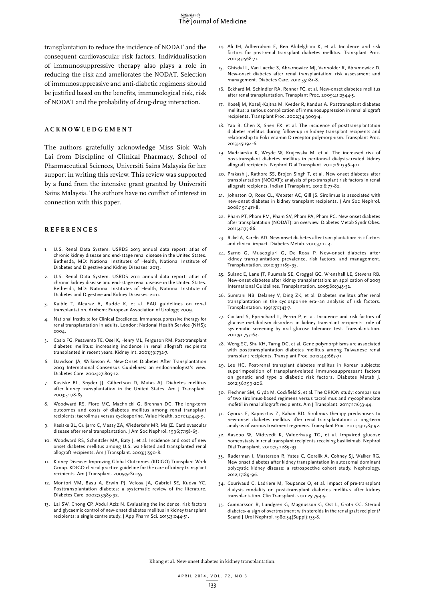transplantation to reduce the incidence of NODAT and the consequent cardiovascular risk factors. Individualisation of immunosuppressive therapy also plays a role in reducing the risk and ameliorates the NODAT. Selection of immunosuppressive and anti-diabetic regimens should be justified based on the benefits, immunological risk, risk of NODAT and the probability of drug-drug interaction.

### **A C K NO W LED G E M ENT**

The authors gratefully acknowledge Miss Siok Wah Lai from Discipline of Clinical Pharmacy, School of Pharmaceutical Sciences, Universiti Sains Malaysia for her support in writing this review. This review was supported by a fund from the intensive grant granted by Universiti Sains Malaysia. The authors have no conflict of interest in connection with this paper.

### **REFEREN C ES**

- 1. U.S. Renal Data System. USRDS 2013 annual data report: atlas of chronic kidney disease and end-stage renal disease in the United States. Bethesda, MD: National Institutes of Health, National Institute of Diabetes and Digestive and Kidney Diseases; 2013.
- 2. U.S. Renal Data System. USRDS 2011 annual data report: atlas of chronic kidney disease and end-stage renal disease in the United States. Bethesda, MD: National Institutes of Health, National Institute of Diabetes and Digestive and Kidney Diseases; 2011.
- 3. Kalble T, Alcaraz A, Budde K, et al. EAU guidelines on renal transplantation. Arnhem: European Association of Urology; 2009.
- 4. National Institute for Clinical Excellence. Immunosuppressive therapy for renal transplantation in adults. London: National Health Service (NHS); 2004.
- 5. Cosio FG, Pesavento TE, Osei K, Henry ML, Ferguson RM. Post-transplant diabetes mellitus: increasing incidence in renal allograft recipients transplanted in recent years. Kidney Int. 2001;59:732-7.
- 6. Davidson JA, Wilkinson A. New-Onset Diabetes After Transplantation 2003 International Consensus Guidelines: an endocrinologist's view. Diabetes Care. 2004;27:805-12.
- 7. Kasiske BL, Snyder JJ, Gilbertson D, Matas AJ. Diabetes mellitus after kidney transplantation in the United States. Am J Transplant. 2003;3:178-85.
- 8. Woodward RS, Flore MC, Machnicki G, Brennan DC. The long-term outcomes and costs of diabetes mellitus among renal transplant recipients: tacrolimus versus cyclosporine. Value Health. 2011;14:443-9.
- 9. Kasiske BL, Guijarro C, Massy ZA, Wiederkehr MR, Ma JZ. Cardiovascular disease after renal transplantation. J Am Soc Nephrol. 1996;7:158-65.
- 10. Woodward RS, Schnitzler MA, Baty J, et al. Incidence and cost of new onset diabetes mellitus among U.S. wait-listed and transplanted renal allograft recipients. Am J Transplant. 2003;3:590-8.
- 11. Kidney Disease: Improving Global Outcomes (KDIGO) Transplant Work Group. KDIGO clinical practice guideline for the care of kidney transplant recipients. Am J Transplant. 2009;9:S1-155.
- 12. Montori VM, Basu A, Erwin PJ, Velosa JA, Gabriel SE, Kudva YC. Posttransplantation diabetes: a systematic review of the literature. Diabetes Care. 2002;25:583-92.
- 13. Lai SW, Chong CP, Abdul Aziz N. Evaluating the incidence, risk factors and glycaemic control of new-onset diabetes mellitus in kidney transplant recipients: a single centre study. J App Pharm Sci. 2013;3:044-51.
- 14. Ali IH, Adberrahim E, Ben Abdelghani K, et al. Incidence and risk factors for post-renal transplant diabetes mellitus. Transplant Proc. 2011;43:568-71.
- 15. Ghisdal L, Van Laecke S, Abramowicz MJ, Vanholder R, Abramowicz D. New-onset diabetes after renal transplantation: risk assessment and management. Diabetes Care. 2012;35:181-8.
- 16. Eckhard M, Schindler RA, Renner FC, et al. New-onset diabetes mellitus after renal transplantation. Transplant Proc. 2009;41:2544-5.
- 17. Koselj M, Koselj-Kajtna M, Kveder R, Kandus A. Posttransplant diabetes mellitus: a serious complication of immunosuppression in renal allograft recipients. Transplant Proc. 2002;34:3003-4.
- 18. Yao B, Chen X, Shen FX, et al. The incidence of posttransplantation diabetes mellitus during follow-up in kidney transplant recipients and relationship to Fok1 vitamin D receptor polymorphism. Transplant Proc. 2013;45:194-6.
- 19. Madziarska K, Weyde W, Krajewska M, et al. The increased risk of post-transplant diabetes mellitus in peritoneal dialysis-treated kidney allograft recipients. Nephrol Dial Transplant. 2011;26:1396-401.
- 20. Prakash J, Rathore SS, Brojen Singh T, et al. New onset diabetes after transplantation (NODAT): analysis of pre-transplant risk factors in renal allograft recipients. Indian J Transplant. 2012;6:77-82.
- 21. Johnston O, Rose CL, Webster AC, Gill JS. Sirolimus is associated with new-onset diabetes in kidney transplant recipients. J Am Soc Nephrol. 2008;19:1411-8.
- 22. Pham PT, Pham PM, Pham SV, Pham PA, Pham PC. New onset diabetes after transplantation (NODAT): an overview. Diabetes Metab Syndr Obes. 2011;4:175-86.
- 23. Rakel A, Karelis AD. New-onset diabetes after transplantation: risk factors and clinical impact. Diabetes Metab. 2011;37:1-14.
- 24. Sarno G, Muscogiuri G, De Rosa P. New-onset diabetes after kidney transplantation: prevalence, risk factors, and management. Transplantation. 2012;93:1189-95.
- 25. Sulanc E, Lane JT, Puumala SE, Groggel GC, Wrenshall LE, Stevens RB. New-onset diabetes after kidney transplantation: an application of 2003 International Guidelines. Transplantation. 2005;80:945-52.
- 26. Sumrani NB, Delaney V, Ding ZK, et al. Diabetes mellitus after renal transplantation in the cyclosporine era--an analysis of risk factors. Transplantation. 1991;51:343-7.
- 27. Caillard S, Eprinchard L, Perrin P, et al. Incidence and risk factors of glucose metabolism disorders in kidney transplant recipients: role of systematic screening by oral glucose tolerance test. Transplantation. 2011;91:757-64.
- 28. Weng SC, Shu KH, Tarng DC, et al. Gene polymorphisms are associated with posttransplantation diabetes mellitus among Taiwanese renal transplant recipients. Transplant Proc. 2012;44:667-71.
- 29. Lee HC. Post-renal transplant diabetes mellitus in Korean subjects: superimposition of transplant-related immunosuppressant factors on genetic and type 2 diabetic risk factors. Diabetes Metab J. 2012;36:199-206.
- 30. Flechner SM, Glyda M, Cockfield S, et al. The ORION study: comparison of two sirolimus-based regimens versus tacrolimus and mycophenolate mofetil in renal allograft recipients. Am J Transplant. 2011;11:1633-44.
- 31. Gyurus E, Kaposztas Z, Kahan BD. Sirolimus therapy predisposes to new-onset diabetes mellitus after renal transplantation: a long-term analysis of various treatment regimens. Transplant Proc. 2011;43:1583-92.
- 32. Aasebo W, Midtvedt K, Valderhaug TG, et al. Impaired glucose homeostasis in renal transplant recipients receiving basiliximab. Nephrol Dial Transplant. 2010;25:1289-93.
- 33. Ruderman I, Masterson R, Yates C, Gorelik A, Cohney SJ, Walker RG. New onset diabetes after kidney transplantation in autosomal dominant polycystic kidney disease: a retrospective cohort study. Nephrology. 2012;17:89-96.
- 34. Courivaud C, Ladriere M, Toupance O, et al. Impact of pre-transplant dialysis modality on post-transplant diabetes mellitus after kidney transplantation. Clin Transplant. 2011;25:794-9.
- 35. Gunnarsson R, Lundgren G, Magnusson G, Ost L, Groth CG. Steroid diabetes--a sign of overtreatment with steroids in the renal graft recipient? Scand J Urol Nephrol. 1980;54(Suppl):135-8.

Khong et al. New-onset diabetes in kidney transplantation.